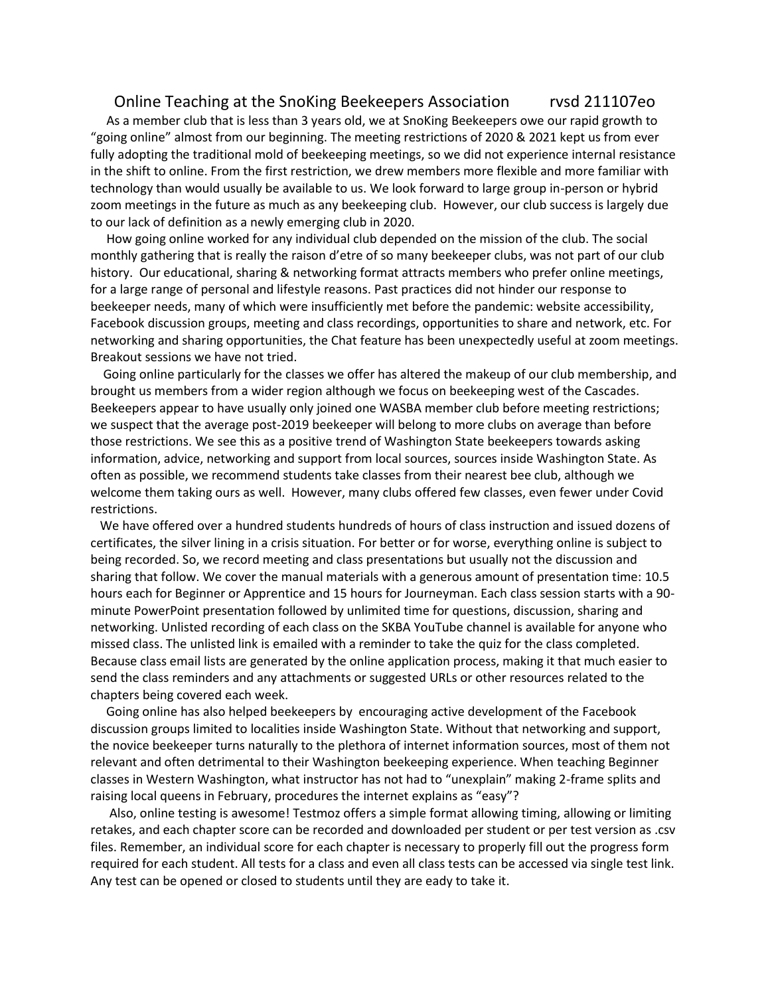## Online Teaching at the SnoKing Beekeepers Association rvsd 211107eo

 As a member club that is less than 3 years old, we at SnoKing Beekeepers owe our rapid growth to "going online" almost from our beginning. The meeting restrictions of 2020 & 2021 kept us from ever fully adopting the traditional mold of beekeeping meetings, so we did not experience internal resistance in the shift to online. From the first restriction, we drew members more flexible and more familiar with technology than would usually be available to us. We look forward to large group in-person or hybrid zoom meetings in the future as much as any beekeeping club. However, our club success is largely due to our lack of definition as a newly emerging club in 2020.

 How going online worked for any individual club depended on the mission of the club. The social monthly gathering that is really the raison d'etre of so many beekeeper clubs, was not part of our club history. Our educational, sharing & networking format attracts members who prefer online meetings, for a large range of personal and lifestyle reasons. Past practices did not hinder our response to beekeeper needs, many of which were insufficiently met before the pandemic: website accessibility, Facebook discussion groups, meeting and class recordings, opportunities to share and network, etc. For networking and sharing opportunities, the Chat feature has been unexpectedly useful at zoom meetings. Breakout sessions we have not tried.

 Going online particularly for the classes we offer has altered the makeup of our club membership, and brought us members from a wider region although we focus on beekeeping west of the Cascades. Beekeepers appear to have usually only joined one WASBA member club before meeting restrictions; we suspect that the average post-2019 beekeeper will belong to more clubs on average than before those restrictions. We see this as a positive trend of Washington State beekeepers towards asking information, advice, networking and support from local sources, sources inside Washington State. As often as possible, we recommend students take classes from their nearest bee club, although we welcome them taking ours as well. However, many clubs offered few classes, even fewer under Covid restrictions.

 We have offered over a hundred students hundreds of hours of class instruction and issued dozens of certificates, the silver lining in a crisis situation. For better or for worse, everything online is subject to being recorded. So, we record meeting and class presentations but usually not the discussion and sharing that follow. We cover the manual materials with a generous amount of presentation time: 10.5 hours each for Beginner or Apprentice and 15 hours for Journeyman. Each class session starts with a 90 minute PowerPoint presentation followed by unlimited time for questions, discussion, sharing and networking. Unlisted recording of each class on the SKBA YouTube channel is available for anyone who missed class. The unlisted link is emailed with a reminder to take the quiz for the class completed. Because class email lists are generated by the online application process, making it that much easier to send the class reminders and any attachments or suggested URLs or other resources related to the chapters being covered each week.

 Going online has also helped beekeepers by encouraging active development of the Facebook discussion groups limited to localities inside Washington State. Without that networking and support, the novice beekeeper turns naturally to the plethora of internet information sources, most of them not relevant and often detrimental to their Washington beekeeping experience. When teaching Beginner classes in Western Washington, what instructor has not had to "unexplain" making 2-frame splits and raising local queens in February, procedures the internet explains as "easy"?

 Also, online testing is awesome! Testmoz offers a simple format allowing timing, allowing or limiting retakes, and each chapter score can be recorded and downloaded per student or per test version as .csv files. Remember, an individual score for each chapter is necessary to properly fill out the progress form required for each student. All tests for a class and even all class tests can be accessed via single test link. Any test can be opened or closed to students until they are eady to take it.